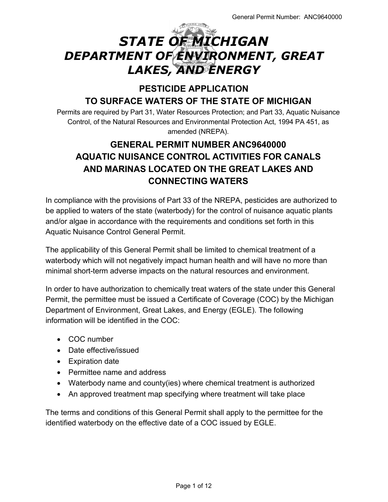# *STATE OF MICHIGAN DEPARTMENT OF ENVIRONMENT, GREAT LAKES, AND ENERGY*

# **PESTICIDE APPLICATION TO SURFACE WATERS OF THE STATE OF MICHIGAN**

Permits are required by Part 31, Water Resources Protection; and Part 33, Aquatic Nuisance Control, of the Natural Resources and Environmental Protection Act, 1994 PA 451, as amended (NREPA).

# **GENERAL PERMIT NUMBER ANC9640000 AQUATIC NUISANCE CONTROL ACTIVITIES FOR CANALS AND MARINAS LOCATED ON THE GREAT LAKES AND CONNECTING WATERS**

In compliance with the provisions of Part 33 of the NREPA, pesticides are authorized to be applied to waters of the state (waterbody) for the control of nuisance aquatic plants and/or algae in accordance with the requirements and conditions set forth in this Aquatic Nuisance Control General Permit.

The applicability of this General Permit shall be limited to chemical treatment of a waterbody which will not negatively impact human health and will have no more than minimal short-term adverse impacts on the natural resources and environment.

In order to have authorization to chemically treat waters of the state under this General Permit, the permittee must be issued a Certificate of Coverage (COC) by the Michigan Department of Environment, Great Lakes, and Energy (EGLE). The following information will be identified in the COC:

- COC number
- Date effective/issued
- Expiration date
- Permittee name and address
- Waterbody name and county(ies) where chemical treatment is authorized
- An approved treatment map specifying where treatment will take place

The terms and conditions of this General Permit shall apply to the permittee for the identified waterbody on the effective date of a COC issued by EGLE.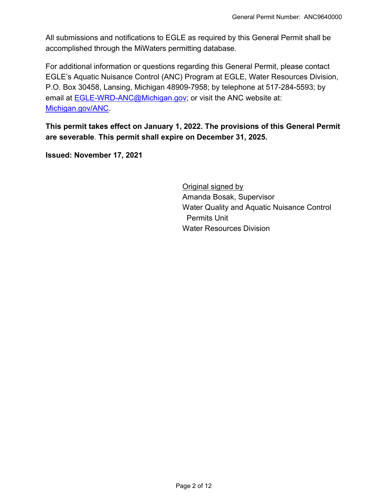All submissions and notifications to EGLE as required by this General Permit shall be accomplished through the MiWaters permitting database.

For additional information or questions regarding this General Permit, please contact EGLE's Aquatic Nuisance Control (ANC) Program at EGLE, Water Resources Division, P.O. Box 30458, Lansing, Michigan 48909-7958; by telephone at 517-284-5593; by email at [EGLE-WRD-ANC@Michigan.gov;](mailto:EGLE-WRD-ANC@Michigan.gov) or visit the ANC website at: [Michigan.gov/ANC.](http://www.michigan.gov/anc)

**This permit takes effect on January 1, 2022. The provisions of this General Permit are severable**. **This permit shall expire on December 31, 2025.** 

**Issued: November 17, 2021**

Original signed by Amanda Bosak, Supervisor Water Quality and Aquatic Nuisance Control Permits Unit Water Resources Division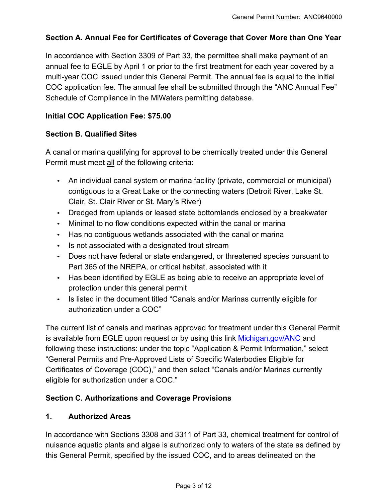# **Section A. Annual Fee for Certificates of Coverage that Cover More than One Year**

In accordance with Section 3309 of Part 33, the permittee shall make payment of an annual fee to EGLE by April 1 or prior to the first treatment for each year covered by a multi-year COC issued under this General Permit. The annual fee is equal to the initial COC application fee. The annual fee shall be submitted through the "ANC Annual Fee" Schedule of Compliance in the MiWaters permitting database.

#### **Initial COC Application Fee: \$75.00**

#### **Section B. Qualified Sites**

A canal or marina qualifying for approval to be chemically treated under this General Permit must meet all of the following criteria:

- An individual canal system or marina facility (private, commercial or municipal) contiguous to a Great Lake or the connecting waters (Detroit River, Lake St. Clair, St. Clair River or St. Mary's River)
- Dredged from uplands or leased state bottomlands enclosed by a breakwater
- Minimal to no flow conditions expected within the canal or marina
- Has no contiguous wetlands associated with the canal or marina
- Is not associated with a designated trout stream
- Does not have federal or state endangered, or threatened species pursuant to Part 365 of the NREPA, or critical habitat, associated with it
- Has been identified by EGLE as being able to receive an appropriate level of protection under this general permit
- Is listed in the document titled "Canals and/or Marinas currently eligible for authorization under a COC"

The current list of canals and marinas approved for treatment under this General Permit is available from EGLE upon request or by using this link [Michigan.gov/ANC](http://www.michigan.gov/anc) and following these instructions: under the topic "Application & Permit Information," select "General Permits and Pre-Approved Lists of Specific Waterbodies Eligible for Certificates of Coverage (COC)," and then select "Canals and/or Marinas currently eligible for authorization under a COC."

#### **Section C. Authorizations and Coverage Provisions**

#### **1. Authorized Areas**

In accordance with Sections 3308 and 3311 of Part 33, chemical treatment for control of nuisance aquatic plants and algae is authorized only to waters of the state as defined by this General Permit, specified by the issued COC, and to areas delineated on the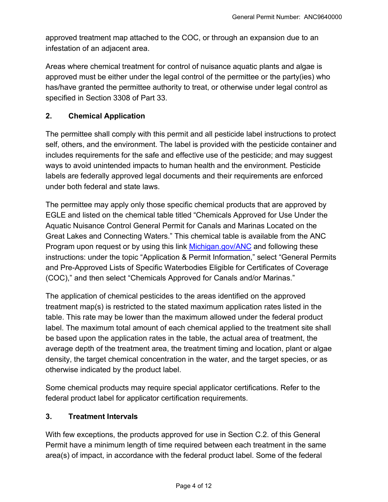approved treatment map attached to the COC, or through an expansion due to an infestation of an adjacent area.

Areas where chemical treatment for control of nuisance aquatic plants and algae is approved must be either under the legal control of the permittee or the party(ies) who has/have granted the permittee authority to treat, or otherwise under legal control as specified in Section 3308 of Part 33.

#### **2. Chemical Application**

The permittee shall comply with this permit and all pesticide label instructions to protect self, others, and the environment. The label is provided with the pesticide container and includes requirements for the safe and effective use of the pesticide; and may suggest ways to avoid unintended impacts to human health and the environment. Pesticide labels are federally approved legal documents and their requirements are enforced under both federal and state laws.

The permittee may apply only those specific chemical products that are approved by EGLE and listed on the chemical table titled "Chemicals Approved for Use Under the Aquatic Nuisance Control General Permit for Canals and Marinas Located on the Great Lakes and Connecting Waters." This chemical table is available from the ANC Program upon request or by using this link [Michigan.gov/ANC](https://www.michigan.gov/egle/0,9429,7-135-3313_3681_3710---,00.html) and following these instructions: under the topic "Application & Permit Information," select "General Permits and Pre-Approved Lists of Specific Waterbodies Eligible for Certificates of Coverage (COC)," and then select "Chemicals Approved for Canals and/or Marinas."

The application of chemical pesticides to the areas identified on the approved treatment map(s) is restricted to the stated maximum application rates listed in the table. This rate may be lower than the maximum allowed under the federal product label. The maximum total amount of each chemical applied to the treatment site shall be based upon the application rates in the table, the actual area of treatment, the average depth of the treatment area, the treatment timing and location, plant or algae density, the target chemical concentration in the water, and the target species, or as otherwise indicated by the product label.

Some chemical products may require special applicator certifications. Refer to the federal product label for applicator certification requirements.

#### **3. Treatment Intervals**

With few exceptions, the products approved for use in Section C.2. of this General Permit have a minimum length of time required between each treatment in the same area(s) of impact, in accordance with the federal product label. Some of the federal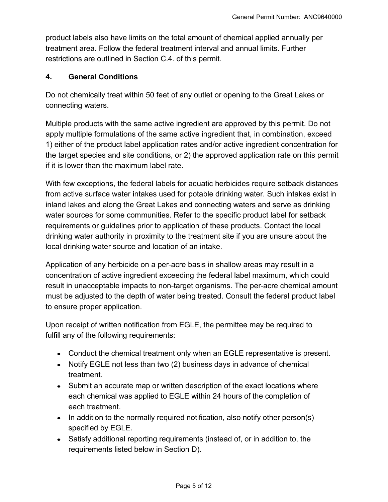product labels also have limits on the total amount of chemical applied annually per treatment area. Follow the federal treatment interval and annual limits. Further restrictions are outlined in Section C.4. of this permit.

#### **4. General Conditions**

Do not chemically treat within 50 feet of any outlet or opening to the Great Lakes or connecting waters.

Multiple products with the same active ingredient are approved by this permit. Do not apply multiple formulations of the same active ingredient that, in combination, exceed 1) either of the product label application rates and/or active ingredient concentration for the target species and site conditions, or 2) the approved application rate on this permit if it is lower than the maximum label rate.

With few exceptions, the federal labels for aquatic herbicides require setback distances from active surface water intakes used for potable drinking water. Such intakes exist in inland lakes and along the Great Lakes and connecting waters and serve as drinking water sources for some communities. Refer to the specific product label for setback requirements or guidelines prior to application of these products. Contact the local drinking water authority in proximity to the treatment site if you are unsure about the local drinking water source and location of an intake.

Application of any herbicide on a per-acre basis in shallow areas may result in a concentration of active ingredient exceeding the federal label maximum, which could result in unacceptable impacts to non-target organisms. The per-acre chemical amount must be adjusted to the depth of water being treated. Consult the federal product label to ensure proper application.

Upon receipt of written notification from EGLE, the permittee may be required to fulfill any of the following requirements:

- Conduct the chemical treatment only when an EGLE representative is present.
- Notify EGLE not less than two (2) business days in advance of chemical treatment.
- Submit an accurate map or written description of the exact locations where each chemical was applied to EGLE within 24 hours of the completion of each treatment.
- $\bullet$  In addition to the normally required notification, also notify other person(s) specified by EGLE.
- Satisfy additional reporting requirements (instead of, or in addition to, the requirements listed below in Section D).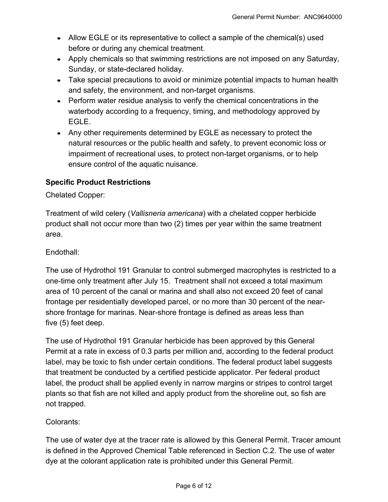- Allow EGLE or its representative to collect a sample of the chemical(s) used before or during any chemical treatment.
- Apply chemicals so that swimming restrictions are not imposed on any Saturday, Sunday, or state-declared holiday.
- Take special precautions to avoid or minimize potential impacts to human health and safety, the environment, and non-target organisms.
- Perform water residue analysis to verify the chemical concentrations in the waterbody according to a frequency, timing, and methodology approved by EGLE.
- Any other requirements determined by EGLE as necessary to protect the natural resources or the public health and safety, to prevent economic loss or impairment of recreational uses, to protect non-target organisms, or to help ensure control of the aquatic nuisance.

# **Specific Product Restrictions**

Chelated Copper:

Treatment of wild celery (*Vallisneria americana*) with a chelated copper herbicide product shall not occur more than two (2) times per year within the same treatment area.

## Endothall:

The use of Hydrothol 191 Granular to control submerged macrophytes is restricted to a one-time only treatment after July 15. Treatment shall not exceed a total maximum area of 10 percent of the canal or marina and shall also not exceed 20 feet of canal frontage per residentially developed parcel, or no more than 30 percent of the nearshore frontage for marinas. Near-shore frontage is defined as areas less than five (5) feet deep.

The use of Hydrothol 191 Granular herbicide has been approved by this General Permit at a rate in excess of 0.3 parts per million and, according to the federal product label, may be toxic to fish under certain conditions. The federal product label suggests that treatment be conducted by a certified pesticide applicator. Per federal product label, the product shall be applied evenly in narrow margins or stripes to control target plants so that fish are not killed and apply product from the shoreline out, so fish are not trapped.

# Colorants:

The use of water dye at the tracer rate is allowed by this General Permit. Tracer amount is defined in the Approved Chemical Table referenced in Section C.2. The use of water dye at the colorant application rate is prohibited under this General Permit.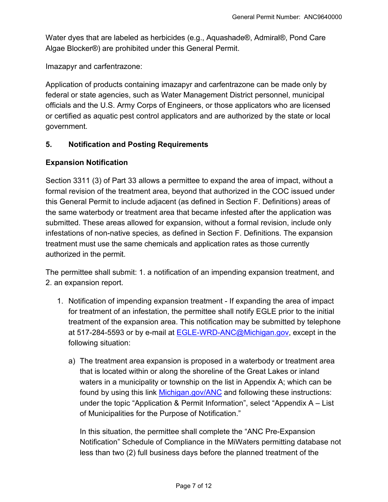Water dyes that are labeled as herbicides (e.g., Aquashade®, Admiral®, Pond Care Algae Blocker®) are prohibited under this General Permit.

Imazapyr and carfentrazone:

Application of products containing imazapyr and carfentrazone can be made only by federal or state agencies, such as Water Management District personnel, municipal officials and the U.S. Army Corps of Engineers, or those applicators who are licensed or certified as aquatic pest control applicators and are authorized by the state or local government.

#### **5. Notification and Posting Requirements**

#### **Expansion Notification**

Section 3311 (3) of Part 33 allows a permittee to expand the area of impact, without a formal revision of the treatment area, beyond that authorized in the COC issued under this General Permit to include adjacent (as defined in Section F. Definitions) areas of the same waterbody or treatment area that became infested after the application was submitted. These areas allowed for expansion, without a formal revision, include only infestations of non-native species*,* as defined in Section F. Definitions. The expansion treatment must use the same chemicals and application rates as those currently authorized in the permit.

The permittee shall submit: 1. a notification of an impending expansion treatment, and 2. an expansion report.

- 1. Notification of impending expansion treatment If expanding the area of impact for treatment of an infestation, the permittee shall notify EGLE prior to the initial treatment of the expansion area. This notification may be submitted by telephone at 517-284-5593 or by e-mail at [EGLE-WRD-ANC@Michigan.gov,](mailto:egle-wrd-anc@michigan.gov) except in the following situation:
	- a) The treatment area expansion is proposed in a waterbody or treatment area that is located within or along the shoreline of the Great Lakes or inland waters in a municipality or township on the list in Appendix A; which can be found by using this link [Michigan.gov/ANC](http://www.michigan.gov/anc) and following these instructions: under the topic "Application & Permit Information", select "Appendix A – List of Municipalities for the Purpose of Notification."

In this situation, the permittee shall complete the "ANC Pre-Expansion Notification" Schedule of Compliance in the MiWaters permitting database not less than two (2) full business days before the planned treatment of the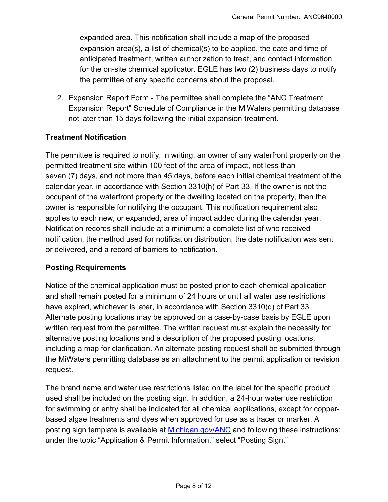expanded area. This notification shall include a map of the proposed expansion area(s), a list of chemical(s) to be applied, the date and time of anticipated treatment, written authorization to treat, and contact information for the on-site chemical applicator. EGLE has two (2) business days to notify the permittee of any specific concerns about the proposal.

2. Expansion Report Form - The permittee shall complete the "ANC Treatment Expansion Report" Schedule of Compliance in the MiWaters permitting database not later than 15 days following the initial expansion treatment.

#### **Treatment Notification**

The permittee is required to notify, in writing, an owner of any waterfront property on the permitted treatment site within 100 feet of the area of impact, not less than seven (7) days, and not more than 45 days, before each initial chemical treatment of the calendar year, in accordance with Section 3310(h) of Part 33. If the owner is not the occupant of the waterfront property or the dwelling located on the property, then the owner is responsible for notifying the occupant. This notification requirement also applies to each new, or expanded, area of impact added during the calendar year. Notification records shall include at a minimum: a complete list of who received notification, the method used for notification distribution, the date notification was sent or delivered, and a record of barriers to notification.

#### **Posting Requirements**

Notice of the chemical application must be posted prior to each chemical application and shall remain posted for a minimum of 24 hours or until all water use restrictions have expired, whichever is later, in accordance with Section 3310(d) of Part 33. Alternate posting locations may be approved on a case-by-case basis by EGLE upon written request from the permittee. The written request must explain the necessity for alternative posting locations and a description of the proposed posting locations, including a map for clarification. An alternate posting request shall be submitted through the MiWaters permitting database as an attachment to the permit application or revision request.

The brand name and water use restrictions listed on the label for the specific product used shall be included on the posting sign. In addition, a 24-hour water use restriction for swimming or entry shall be indicated for all chemical applications, except for copperbased algae treatments and dyes when approved for use as a tracer or marker. A posting sign template is available at [Michigan.gov/ANC](http://www.michigan.gov/anc) and following these instructions: under the topic "Application & Permit Information," select "Posting Sign."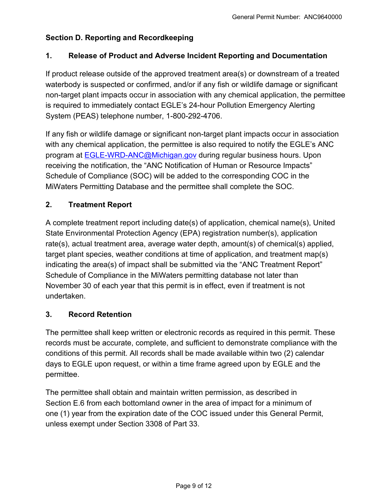# **Section D. Reporting and Recordkeeping**

## **1. Release of Product and Adverse Incident Reporting and Documentation**

If product release outside of the approved treatment area(s) or downstream of a treated waterbody is suspected or confirmed, and/or if any fish or wildlife damage or significant non-target plant impacts occur in association with any chemical application, the permittee is required to immediately contact EGLE's 24-hour Pollution Emergency Alerting System (PEAS) telephone number, 1-800-292-4706.

If any fish or wildlife damage or significant non-target plant impacts occur in association with any chemical application, the permittee is also required to notify the EGLE's ANC program at [EGLE-WRD-ANC@Michigan.gov](mailto:egle-wrd-anc@michigan.gov) during regular business hours. Upon receiving the notification, the "ANC Notification of Human or Resource Impacts" Schedule of Compliance (SOC) will be added to the corresponding COC in the MiWaters Permitting Database and the permittee shall complete the SOC.

#### **2. Treatment Report**

A complete treatment report including date(s) of application, chemical name(s), United State Environmental Protection Agency (EPA) registration number(s), application rate(s), actual treatment area, average water depth, amount(s) of chemical(s) applied, target plant species, weather conditions at time of application, and treatment map(s) indicating the area(s) of impact shall be submitted via the "ANC Treatment Report" Schedule of Compliance in the MiWaters permitting database not later than November 30 of each year that this permit is in effect, even if treatment is not undertaken.

#### **3. Record Retention**

The permittee shall keep written or electronic records as required in this permit. These records must be accurate, complete, and sufficient to demonstrate compliance with the conditions of this permit. All records shall be made available within two (2) calendar days to EGLE upon request, or within a time frame agreed upon by EGLE and the permittee.

The permittee shall obtain and maintain written permission, as described in Section E.6 from each bottomland owner in the area of impact for a minimum of one (1) year from the expiration date of the COC issued under this General Permit, unless exempt under Section 3308 of Part 33.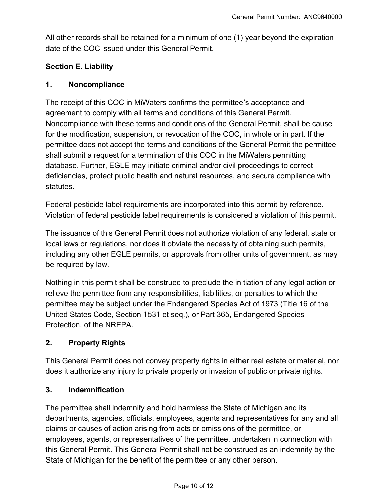All other records shall be retained for a minimum of one (1) year beyond the expiration date of the COC issued under this General Permit.

# **Section E. Liability**

#### **1. Noncompliance**

The receipt of this COC in MiWaters confirms the permittee's acceptance and agreement to comply with all terms and conditions of this General Permit. Noncompliance with these terms and conditions of the General Permit, shall be cause for the modification, suspension, or revocation of the COC, in whole or in part. If the permittee does not accept the terms and conditions of the General Permit the permittee shall submit a request for a termination of this COC in the MiWaters permitting database. Further, EGLE may initiate criminal and/or civil proceedings to correct deficiencies, protect public health and natural resources, and secure compliance with statutes.

Federal pesticide label requirements are incorporated into this permit by reference. Violation of federal pesticide label requirements is considered a violation of this permit.

The issuance of this General Permit does not authorize violation of any federal, state or local laws or regulations, nor does it obviate the necessity of obtaining such permits, including any other EGLE permits, or approvals from other units of government, as may be required by law.

Nothing in this permit shall be construed to preclude the initiation of any legal action or relieve the permittee from any responsibilities, liabilities, or penalties to which the permittee may be subject under the Endangered Species Act of 1973 (Title 16 of the United States Code, Section 1531 et seq.), or Part 365, Endangered Species Protection, of the NREPA.

# **2. Property Rights**

This General Permit does not convey property rights in either real estate or material, nor does it authorize any injury to private property or invasion of public or private rights.

#### **3. Indemnification**

The permittee shall indemnify and hold harmless the State of Michigan and its departments, agencies, officials, employees, agents and representatives for any and all claims or causes of action arising from acts or omissions of the permittee, or employees, agents, or representatives of the permittee, undertaken in connection with this General Permit. This General Permit shall not be construed as an indemnity by the State of Michigan for the benefit of the permittee or any other person.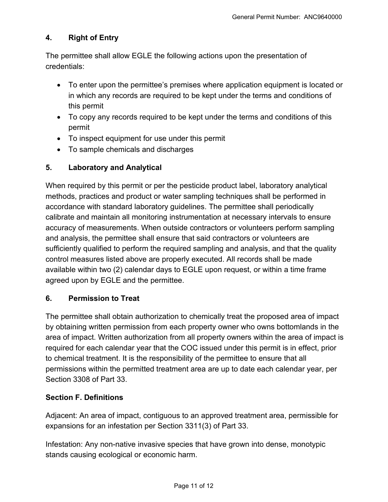# **4. Right of Entry**

The permittee shall allow EGLE the following actions upon the presentation of credentials:

- To enter upon the permittee's premises where application equipment is located or in which any records are required to be kept under the terms and conditions of this permit
- To copy any records required to be kept under the terms and conditions of this permit
- To inspect equipment for use under this permit
- To sample chemicals and discharges

# **5. Laboratory and Analytical**

When required by this permit or per the pesticide product label, laboratory analytical methods, practices and product or water sampling techniques shall be performed in accordance with standard laboratory guidelines. The permittee shall periodically calibrate and maintain all monitoring instrumentation at necessary intervals to ensure accuracy of measurements. When outside contractors or volunteers perform sampling and analysis, the permittee shall ensure that said contractors or volunteers are sufficiently qualified to perform the required sampling and analysis, and that the quality control measures listed above are properly executed. All records shall be made available within two (2) calendar days to EGLE upon request, or within a time frame agreed upon by EGLE and the permittee.

# **6. Permission to Treat**

The permittee shall obtain authorization to chemically treat the proposed area of impact by obtaining written permission from each property owner who owns bottomlands in the area of impact. Written authorization from all property owners within the area of impact is required for each calendar year that the COC issued under this permit is in effect, prior to chemical treatment. It is the responsibility of the permittee to ensure that all permissions within the permitted treatment area are up to date each calendar year, per Section 3308 of Part 33.

# **Section F. Definitions**

Adjacent: An area of impact, contiguous to an approved treatment area, permissible for expansions for an infestation per Section 3311(3) of Part 33.

Infestation: Any non-native invasive species that have grown into dense, monotypic stands causing ecological or economic harm.